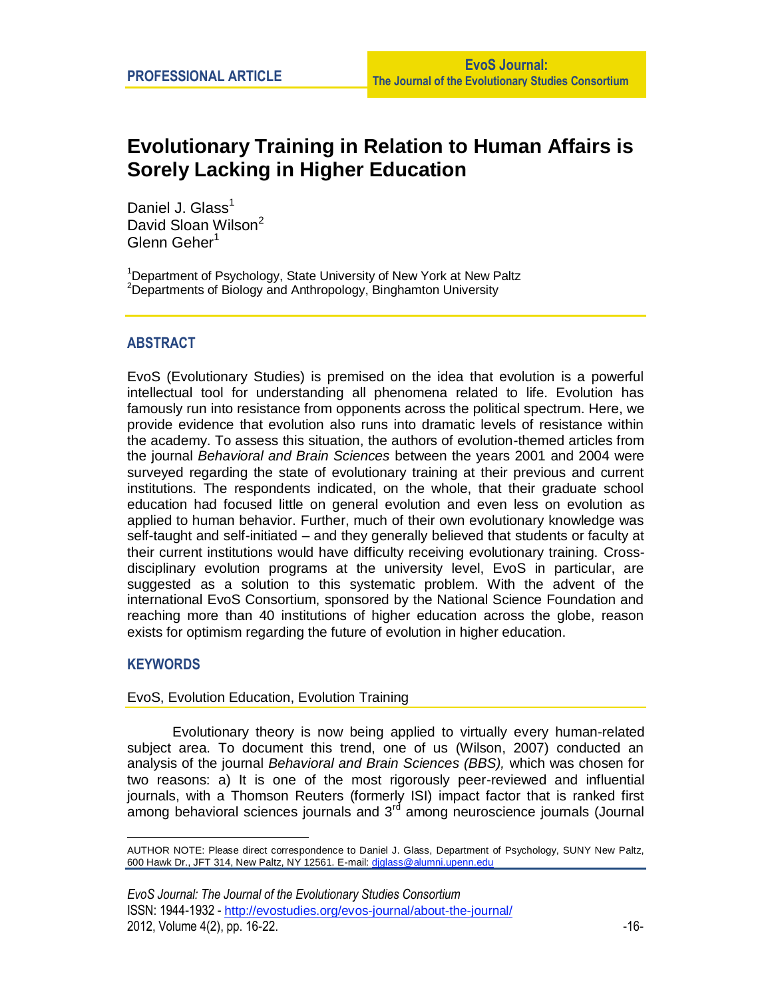# **Evolutionary Training in Relation to Human Affairs is Sorely Lacking in Higher Education**

Daniel J. Glass<sup>1</sup> David Sloan Wilson<sup>2</sup> Glenn Geher<sup>1</sup>

<sup>1</sup>Department of Psychology, State University of New York at New Paltz <sup>2</sup>Departments of Biology and Anthropology, Binghamton University

# **ABSTRACT**

EvoS (Evolutionary Studies) is premised on the idea that evolution is a powerful intellectual tool for understanding all phenomena related to life. Evolution has famously run into resistance from opponents across the political spectrum. Here, we provide evidence that evolution also runs into dramatic levels of resistance within the academy. To assess this situation, the authors of evolution-themed articles from the journal *Behavioral and Brain Sciences* between the years 2001 and 2004 were surveyed regarding the state of evolutionary training at their previous and current institutions. The respondents indicated, on the whole, that their graduate school education had focused little on general evolution and even less on evolution as applied to human behavior. Further, much of their own evolutionary knowledge was self-taught and self-initiated – and they generally believed that students or faculty at their current institutions would have difficulty receiving evolutionary training. Crossdisciplinary evolution programs at the university level, EvoS in particular, are suggested as a solution to this systematic problem. With the advent of the international EvoS Consortium, sponsored by the National Science Foundation and reaching more than 40 institutions of higher education across the globe, reason exists for optimism regarding the future of evolution in higher education.

## **KEYWORDS**

1

#### EvoS, Evolution Education, Evolution Training

Evolutionary theory is now being applied to virtually every human-related subject area. To document this trend, one of us (Wilson, 2007) conducted an analysis of the journal *Behavioral and Brain Sciences (BBS),* which was chosen for two reasons: a) It is one of the most rigorously peer-reviewed and influential journals, with a Thomson Reuters (formerly ISI) impact factor that is ranked first among behavioral sciences journals and  $3<sup>rd</sup>$  among neuroscience journals (Journal

AUTHOR NOTE: Please direct correspondence to Daniel J. Glass, Department of Psychology, SUNY New Paltz, 600 Hawk Dr., JFT 314, New Paltz, NY 12561. E-mail: [djglass@alumni.upenn.edu](mailto:djglass@alumni.upenn.edu)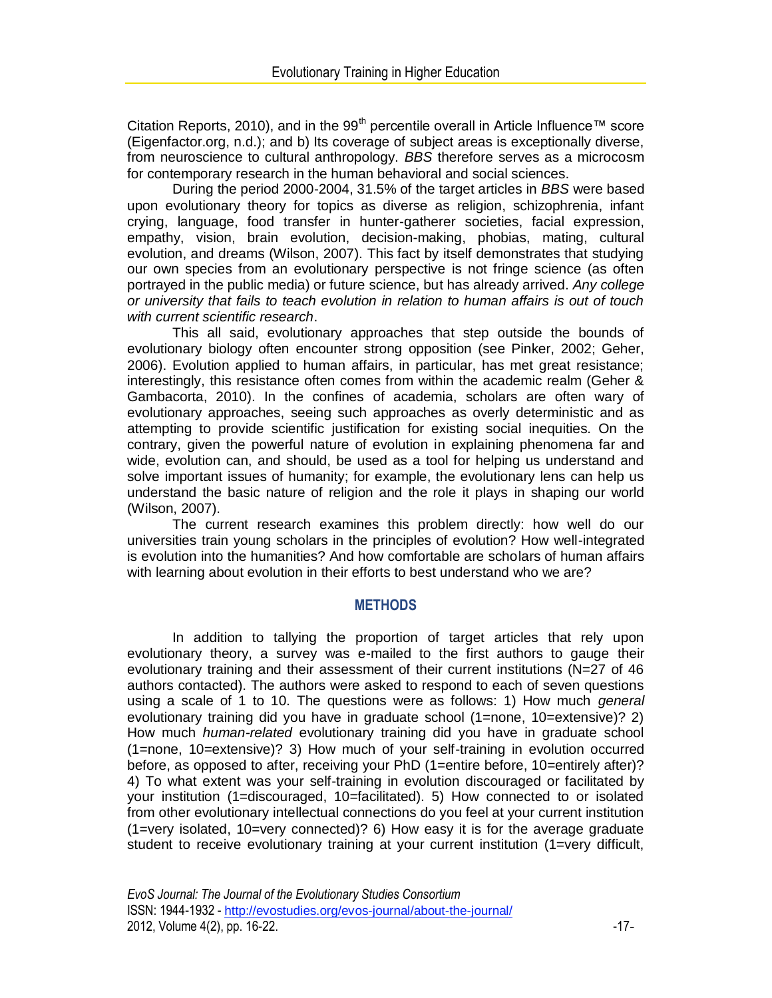Citation Reports, 2010), and in the 99<sup>th</sup> percentile overall in Article Influence<sup>™</sup> score (Eigenfactor.org, n.d.); and b) Its coverage of subject areas is exceptionally diverse, from neuroscience to cultural anthropology. *BBS* therefore serves as a microcosm for contemporary research in the human behavioral and social sciences.

During the period 2000-2004, 31.5% of the target articles in *BBS* were based upon evolutionary theory for topics as diverse as religion, schizophrenia, infant crying, language, food transfer in hunter-gatherer societies, facial expression, empathy, vision, brain evolution, decision-making, phobias, mating, cultural evolution, and dreams (Wilson, 2007). This fact by itself demonstrates that studying our own species from an evolutionary perspective is not fringe science (as often portrayed in the public media) or future science, but has already arrived. *Any college or university that fails to teach evolution in relation to human affairs is out of touch with current scientific research*.

This all said, evolutionary approaches that step outside the bounds of evolutionary biology often encounter strong opposition (see Pinker, 2002; Geher, 2006). Evolution applied to human affairs, in particular, has met great resistance; interestingly, this resistance often comes from within the academic realm (Geher & Gambacorta, 2010). In the confines of academia, scholars are often wary of evolutionary approaches, seeing such approaches as overly deterministic and as attempting to provide scientific justification for existing social inequities. On the contrary, given the powerful nature of evolution in explaining phenomena far and wide, evolution can, and should, be used as a tool for helping us understand and solve important issues of humanity; for example, the evolutionary lens can help us understand the basic nature of religion and the role it plays in shaping our world (Wilson, 2007).

The current research examines this problem directly: how well do our universities train young scholars in the principles of evolution? How well-integrated is evolution into the humanities? And how comfortable are scholars of human affairs with learning about evolution in their efforts to best understand who we are?

#### **METHODS**

In addition to tallying the proportion of target articles that rely upon evolutionary theory, a survey was e-mailed to the first authors to gauge their evolutionary training and their assessment of their current institutions (N=27 of 46 authors contacted). The authors were asked to respond to each of seven questions using a scale of 1 to 10. The questions were as follows: 1) How much *general* evolutionary training did you have in graduate school (1=none, 10=extensive)? 2) How much *human-related* evolutionary training did you have in graduate school (1=none, 10=extensive)? 3) How much of your self-training in evolution occurred before, as opposed to after, receiving your PhD (1=entire before, 10=entirely after)? 4) To what extent was your self-training in evolution discouraged or facilitated by your institution (1=discouraged, 10=facilitated). 5) How connected to or isolated from other evolutionary intellectual connections do you feel at your current institution (1=very isolated, 10=very connected)? 6) How easy it is for the average graduate student to receive evolutionary training at your current institution (1=very difficult,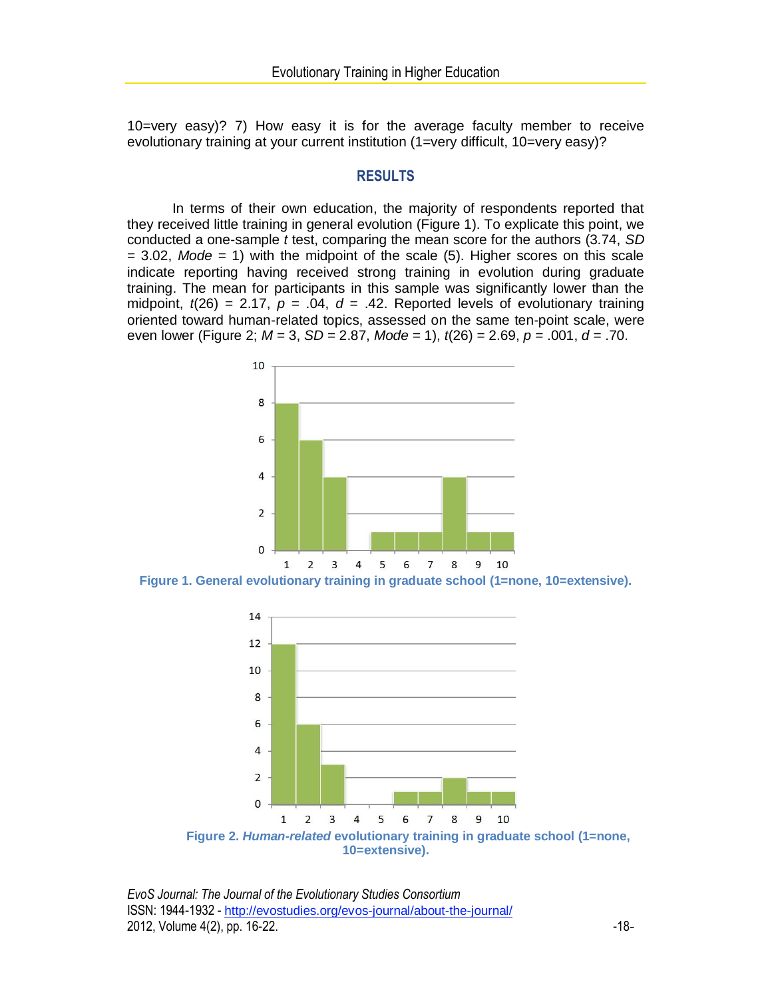10=very easy)? 7) How easy it is for the average faculty member to receive evolutionary training at your current institution (1=very difficult, 10=very easy)?

## **RESULTS**

In terms of their own education, the majority of respondents reported that they received little training in general evolution (Figure 1). To explicate this point, we conducted a one-sample *t* test, comparing the mean score for the authors (3.74, *SD* = 3.02, *Mode* = 1) with the midpoint of the scale (5). Higher scores on this scale indicate reporting having received strong training in evolution during graduate training. The mean for participants in this sample was significantly lower than the midpoint,  $t(26) = 2.17$ ,  $p = .04$ ,  $d = .42$ . Reported levels of evolutionary training oriented toward human-related topics, assessed on the same ten-point scale, were even lower (Figure 2; *M* = 3, *SD* = 2.87, *Mode =* 1), *t*(26) = 2.69, *p* = .001, *d* = .70.



**Figure 1. General evolutionary training in graduate school (1=none, 10=extensive).**



*EvoS Journal: The Journal of the Evolutionary Studies Consortium* ISSN: 1944-1932 - http://evostudies.org/evos-journal/about-the-journal/ 2012, Volume 4(2), pp. 16-22.  $\blacksquare$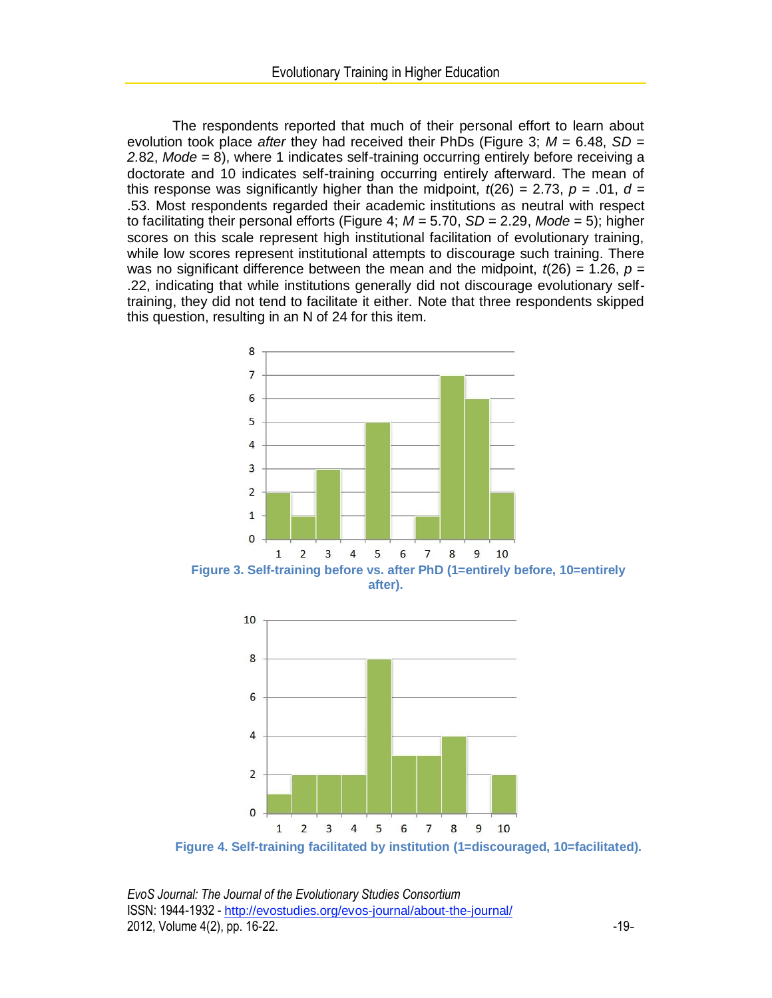The respondents reported that much of their personal effort to learn about evolution took place *after* they had received their PhDs (Figure 3; *M* = 6.48, *SD = 2.*82, *Mode =* 8), where 1 indicates self-training occurring entirely before receiving a doctorate and 10 indicates self-training occurring entirely afterward. The mean of this response was significantly higher than the midpoint,  $t(26) = 2.73$ ,  $p = .01$ ,  $d =$ .53. Most respondents regarded their academic institutions as neutral with respect to facilitating their personal efforts (Figure 4; *M =* 5.70, *SD* = 2.29, *Mode =* 5); higher scores on this scale represent high institutional facilitation of evolutionary training, while low scores represent institutional attempts to discourage such training. There was no significant difference between the mean and the midpoint,  $t(26) = 1.26$ ,  $p =$ .22, indicating that while institutions generally did not discourage evolutionary selftraining, they did not tend to facilitate it either. Note that three respondents skipped this question, resulting in an N of 24 for this item.



**Figure 3. Self-training before vs. after PhD (1=entirely before, 10=entirely after).**



**Figure 4. Self-training facilitated by institution (1=discouraged, 10=facilitated).**

*EvoS Journal: The Journal of the Evolutionary Studies Consortium* ISSN: 1944-1932 - http://evostudies.org/evos-journal/about-the-journal/ 2012, Volume 4(2), pp. 16-22.  $-19-$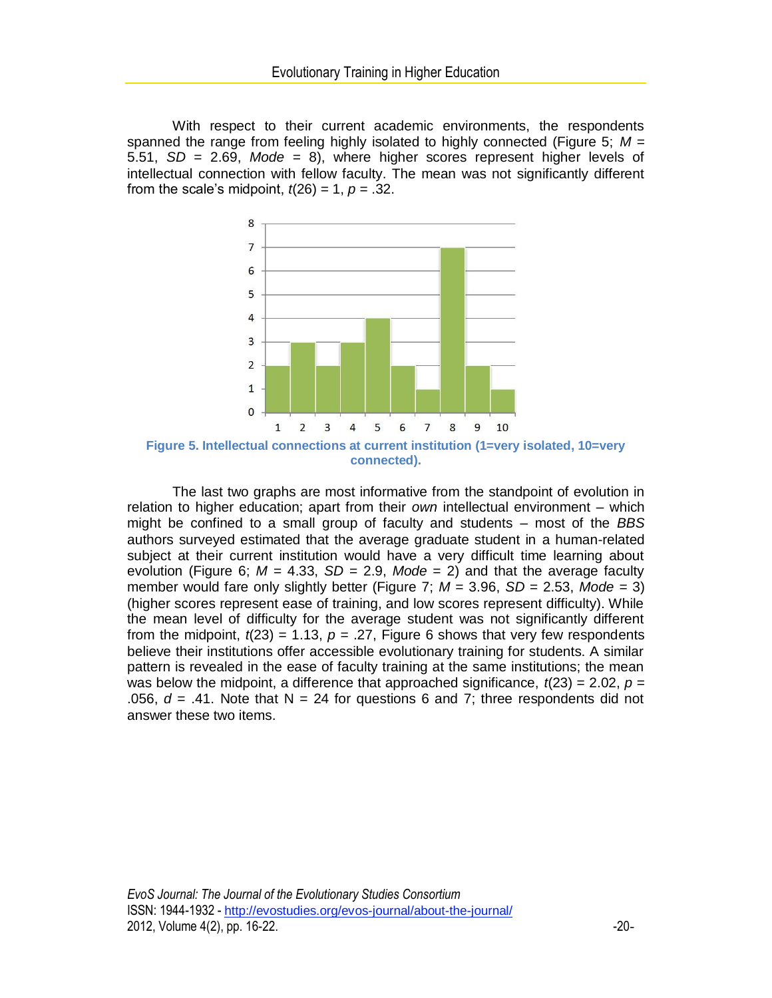With respect to their current academic environments, the respondents spanned the range from feeling highly isolated to highly connected (Figure 5; *M =* 5.51, *SD* = 2.69, *Mode =* 8), where higher scores represent higher levels of intellectual connection with fellow faculty. The mean was not significantly different from the scale's midpoint,  $t(26) = 1$ ,  $p = .32$ .



The last two graphs are most informative from the standpoint of evolution in relation to higher education; apart from their *own* intellectual environment – which might be confined to a small group of faculty and students – most of the *BBS* authors surveyed estimated that the average graduate student in a human-related subject at their current institution would have a very difficult time learning about evolution (Figure 6;  $M = 4.33$ ,  $SD = 2.9$ ,  $Mode = 2$ ) and that the average faculty member would fare only slightly better (Figure 7;  $M = 3.96$ ,  $SD = 2.53$ ,  $Mode = 3$ ) (higher scores represent ease of training, and low scores represent difficulty). While the mean level of difficulty for the average student was not significantly different from the midpoint,  $t(23) = 1.13$ ,  $p = .27$ , Figure 6 shows that very few respondents believe their institutions offer accessible evolutionary training for students. A similar pattern is revealed in the ease of faculty training at the same institutions; the mean was below the midpoint, a difference that approached significance,  $t(23) = 2.02$ ,  $p =$ .056,  $d = .41$ . Note that N = 24 for questions 6 and 7; three respondents did not answer these two items.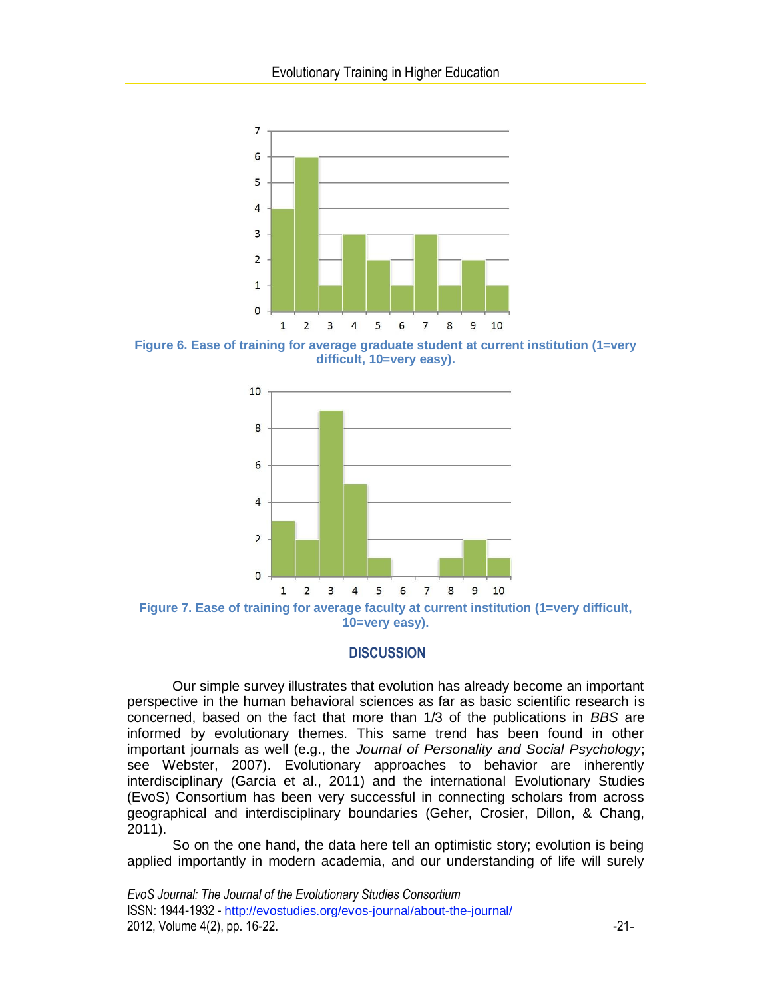

**Figure 6. Ease of training for average graduate student at current institution (1=very difficult, 10=very easy).**



**Figure 7. Ease of training for average faculty at current institution (1=very difficult, 10=very easy).**

# **DISCUSSION**

Our simple survey illustrates that evolution has already become an important perspective in the human behavioral sciences as far as basic scientific research is concerned, based on the fact that more than 1/3 of the publications in *BBS* are informed by evolutionary themes. This same trend has been found in other important journals as well (e.g., the *Journal of Personality and Social Psychology*; see Webster, 2007). Evolutionary approaches to behavior are inherently interdisciplinary (Garcia et al., 2011) and the international Evolutionary Studies (EvoS) Consortium has been very successful in connecting scholars from across geographical and interdisciplinary boundaries (Geher, Crosier, Dillon, & Chang, 2011).

So on the one hand, the data here tell an optimistic story; evolution is being applied importantly in modern academia, and our understanding of life will surely